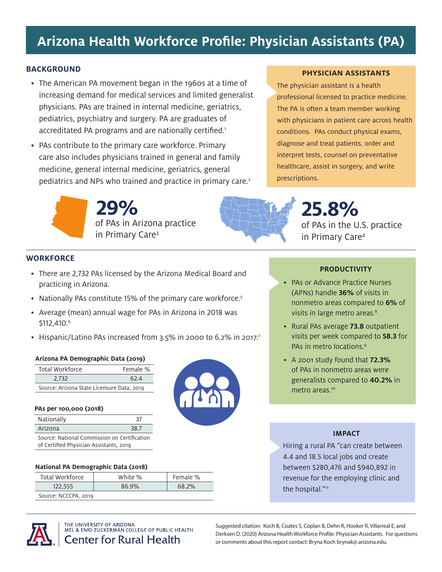# **Arizona Health Workforce Profile: Physician Assistants (PA)**

## **BACKGROUND**

- The American PA movement began in the 1960s at a time of increasing demand for medical services and limited generalist physicians. PAs are trained in internal medicine, geriatrics, pediatrics, psychiatry and surgery. PA are graduates of accreditated PA programs and are nationally certified.<sup>1</sup>
- PAs contribute to the primary care workforce. Primary care also includes physicians trained in general and family medicine, general internal medicine, geriatrics, general pediatrics and NPs who trained and practice in primary care.<sup>2</sup>

## **PHYSICIAN ASSISTANTS**

The physician assistant is a health professional licensed to practice medicine. The PA is often a team member working with physicians in patient care across health conditions. PAs conduct physical exams, diagnose and treat patients, order and interpret tests, counsel on preventative healthcare, assist in surgery, and write prescriptions.

of PAs in Arizona practice in Primary Care3 **29%**



of PAs in the U.S. practice in Primary Care4 **25.8%**

## **WORKFORCE**

- There are 2,732 PAs licensed by the Arizona Medical Board and practicing in Arizona.
- Nationally PAs constitute 15% of the primary care workforce.<sup>5</sup>
- Average (mean) annual wage for PAs in Arizona in 2018 was \$112,410.6
- Hispanic/Latino PAs increased from 3.5% in 2000 to 6.2% in 2017.<sup>7</sup>

## **Arizona PA Demographic Data (2019)**

| Total Workforce                            | Female % |  |
|--------------------------------------------|----------|--|
| 2.732                                      | 62.4     |  |
| Source: Arizona State Licensure Data, 2019 |          |  |

#### **PAs per 100,000 (2018)**

| Nationally                                                                              | -37  |  |
|-----------------------------------------------------------------------------------------|------|--|
| Arizona                                                                                 | 38.7 |  |
| Source: National Commission on Certification<br>of Certified Physician Assistants, 2019 |      |  |

#### **National PA Demographic Data (2018)**

| Total Workforce      | White % | Female % |
|----------------------|---------|----------|
| 122.555              | 86.9%   | 68.2%    |
| Source: NCCCPA, 2019 |         |          |



## **PRODUCTIVITY**

- PAs or Advance Practice Nurses (APNs) handle **36%** of visits in nonmetro areas compared to **6%** of visits in large metro areas.<sup>8</sup>
- Rural PAs average **73.8** outpatient visits per week compared to **58.3** for PAs in metro locations.9
- A 2001 study found that **72.3%** of PAs in nonmetro areas were generalists compared to **40.2%** in metro areas.<sup>10</sup>

## **IMPACT**

Hiring a rural PA "can create between 4.4 and 18.5 local jobs and create between \$280,476 and \$940,892 in revenue for the employing clinic and the hospital."<sup>11</sup>



THE UNIVERSITY OF ARIZONA MEL & ENID ZUCKERMAN COLLEGE OF PUBLIC HEALTH **Center for Rural Health** 

Suggested citation: Koch B, Coates S, Coplan B, Dehn R, Hooker R, Villarreal E, and Derksen D. (2020) Arizona Health Workforce Profile: Physician Assistants. For questions or comments about this report contact: Bryna Koch brynak@.arizona.edu.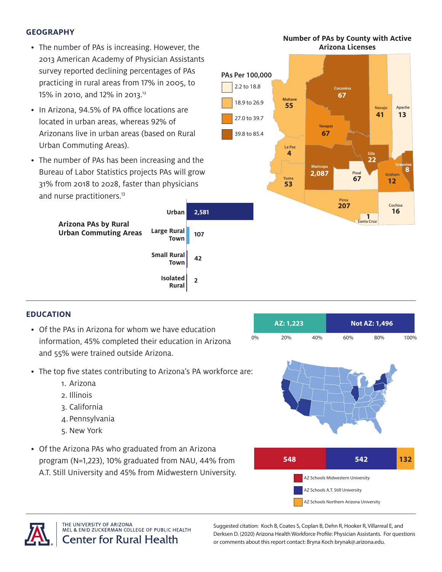## **GEOGRAPHY**

- The number of PAs is increasing. However, the 2013 American Academy of Physician Assistants survey reported declining percentages of PAs practicing in rural areas from 17% in 2005, to 15% in 2010, and 12% in 2013.12
- In Arizona, 94.5% of PA office locations are located in urban areas, whereas 92% of Arizonans live in urban areas (based on Rural Urban Commuting Areas).
- The number of PAs has been increasing and the Bureau of Labor Statistics projects PAs will grow 31% from 2018 to 2028, faster than physicians and nurse practitioners.<sup>13</sup>

**Large Rural Arizona PAs by Rural Urban Commuting Areas**



**Number of PAs by County with Active** 

# **EDUCATION**

- Of the PAs in Arizona for whom we have education information, 45% completed their education in Arizona and 55% were trained outside Arizona.
- The top five states contributing to Arizona's PA workforce are:

**107**

**Town**

**Small Rural Town**

> **Isolated Rural**

**42**

**2**

- 1. Arizona
- 2. Illinois
- 3. California
- 4. Pennsylvania
- 5. New York
- Of the Arizona PAs who graduated from an Arizona program (N=1,223), 10% graduated from NAU, 44% from A.T. Still University and 45% from Midwestern University.



**AZ: 1,223 Not AZ: 1,496**



THE UNIVERSITY OF ARIZONA MEL & ENID ZUCKERMAN COLLEGE OF PUBLIC HEALTH **Center for Rural Health** 

Suggested citation: Koch B, Coates S, Coplan B, Dehn R, Hooker R, Villarreal E, and Derksen D. (2020) Arizona Health Workforce Profile: Physician Assistants. For questions or comments about this report contact: Bryna Koch brynak@.arizona.edu.